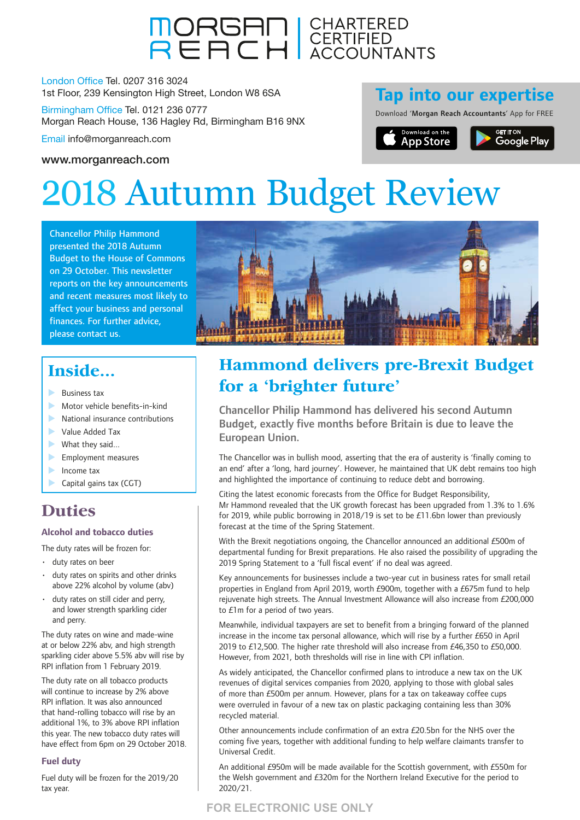

London Office Tel. 0207 316 3024 1st Floor, 239 Kensington High Street, London W8 6SA

Birmingham Office Tel. 0121 236 0777 Morgan Reach House, 136 Hagley Rd, Birmingham B16 9NX

Email info@morganreach.com

### [www.morganreach.com](http://www.morganreach.com)

### **Tap into our expertise**

Download 'Morgan Reach Accountants' App for FREE



# 2018 Autumn Budget Review

Chancellor Philip Hammond presented the 2018 Autumn Budget to the House of Commons on 29 October. This newsletter reports on the key announcements and recent measures most likely to affect your business and personal finances. For further advice, please contact us.



### **Inside...**

- **Business tax**
- $\blacktriangleright$  Motor vehicle benefits-in-kind
- $\blacktriangleright$  National insurance contributions
- **Value Added Tax**
- $\blacktriangleright$  What they said...
- $\blacktriangleright$  Employment measures
- $\blacktriangleright$  Income tax
- 
- Capital gains tax (CGT)

### **Duties**

### **Alcohol and tobacco duties**

The duty rates will be frozen for:

- duty rates on beer
- duty rates on spirits and other drinks above 22% alcohol by volume (abv)
- duty rates on still cider and perry. and lower strength sparkling cider and perry.

The duty rates on wine and made-wine at or below 22% abv, and high strength sparkling cider above 5.5% abv will rise by RPI inflation from 1 February 2019.

The duty rate on all tobacco products will continue to increase by 2% above RPI inflation. It was also announced that hand-rolling tobacco will rise by an additional 1%, to 3% above RPI inflation this year. The new tobacco duty rates will have effect from 6pm on 29 October 2018.

### **Fuel duty**

Fuel duty will be frozen for the 2019/20 tax year.

### **Hammond delivers pre-Brexit Budget for a 'brighter future'**

Chancellor Philip Hammond has delivered his second Autumn Budget, exactly five months before Britain is due to leave the European Union.

The Chancellor was in bullish mood, asserting that the era of austerity is 'finally coming to an end' after a 'long, hard journey'. However, he maintained that UK debt remains too high and highlighted the importance of continuing to reduce debt and borrowing.

Citing the latest economic forecasts from the Office for Budget Responsibility, Mr Hammond revealed that the UK growth forecast has been upgraded from 1.3% to 1.6% for 2019, while public borrowing in 2018/19 is set to be £11.6bn lower than previously forecast at the time of the Spring Statement.

With the Brexit negotiations ongoing, the Chancellor announced an additional £500m of departmental funding for Brexit preparations. He also raised the possibility of upgrading the 2019 Spring Statement to a 'full fiscal event' if no deal was agreed.

Key announcements for businesses include a two-year cut in business rates for small retail properties in England from April 2019, worth £900m, together with a £675m fund to help rejuvenate high streets. The Annual Investment Allowance will also increase from £200,000 to £1m for a period of two years.

Meanwhile, individual taxpayers are set to benefit from a bringing forward of the planned increase in the income tax personal allowance, which will rise by a further £650 in April 2019 to £12,500. The higher rate threshold will also increase from £46,350 to £50,000. However, from 2021, both thresholds will rise in line with CPI inflation.

As widely anticipated, the Chancellor confirmed plans to introduce a new tax on the UK revenues of digital services companies from 2020, applying to those with global sales of more than £500m per annum. However, plans for a tax on takeaway coffee cups were overruled in favour of a new tax on plastic packaging containing less than 30% recycled material.

Other announcements include confirmation of an extra £20.5bn for the NHS over the coming five years, together with additional funding to help welfare claimants transfer to Universal Credit.

An additional £950m will be made available for the Scottish government, with £550m for the Welsh government and £320m for the Northern Ireland Executive for the period to 2020/21.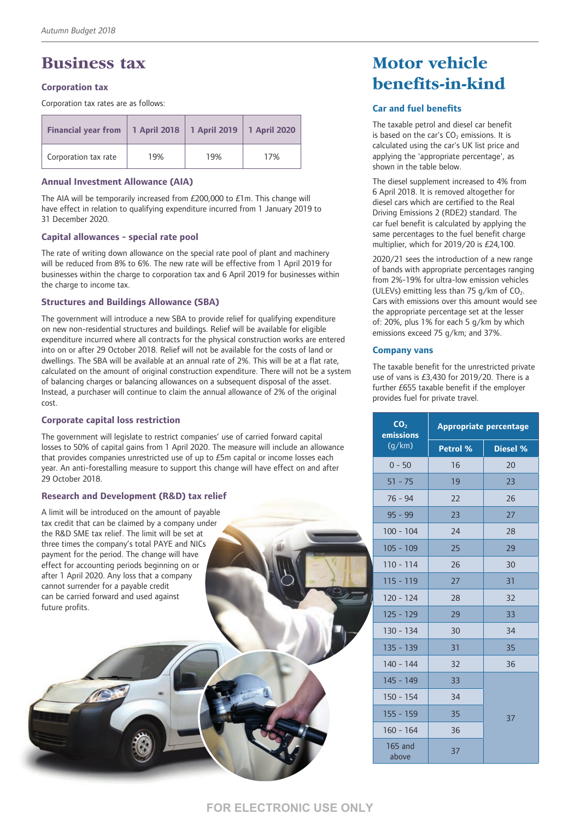### **Business tax**

### **Corporation tax**

Corporation tax rates are as follows:

| <b>Financial year from</b> |     | 1 April 2018   1 April 2019   1 April 2020 |     |
|----------------------------|-----|--------------------------------------------|-----|
| Corporation tax rate       | 19% | 19%                                        | 17% |

#### **Annual Investment Allowance (AIA)**

The AIA will be temporarily increased from £200,000 to £1m. This change will have effect in relation to qualifying expenditure incurred from 1 January 2019 to 31 December 2020.

#### **Capital allowances - special rate pool**

The rate of writing down allowance on the special rate pool of plant and machinery will be reduced from 8% to 6%. The new rate will be effective from 1 April 2019 for businesses within the charge to corporation tax and 6 April 2019 for businesses within the charge to income tax.

### **Structures and Buildings Allowance (SBA)**

The government will introduce a new SBA to provide relief for qualifying expenditure on new non-residential structures and buildings. Relief will be available for eligible expenditure incurred where all contracts for the physical construction works are entered into on or after 29 October 2018. Relief will not be available for the costs of land or dwellings. The SBA will be available at an annual rate of 2%. This will be at a flat rate, calculated on the amount of original construction expenditure. There will not be a system of balancing charges or balancing allowances on a subsequent disposal of the asset. Instead, a purchaser will continue to claim the annual allowance of 2% of the original cost.

### **Corporate capital loss restriction**

The government will legislate to restrict companies' use of carried forward capital losses to 50% of capital gains from 1 April 2020. The measure will include an allowance that provides companies unrestricted use of up to £5m capital or income losses each year. An anti-forestalling measure to support this change will have effect on and after 29 October 2018.

### **Research and Development (R&D) tax relief**

A limit will be introduced on the amount of payable tax credit that can be claimed by a company under the R&D SME tax relief. The limit will be set at three times the company's total PAYE and NICs payment for the period. The change will have effect for accounting periods beginning on or after 1 April 2020. Any loss that a company cannot surrender for a payable credit can be carried forward and used against future profits.

### **Motor vehicle benefits-in-kind**

### **Car and fuel benefits**

The taxable petrol and diesel car benefit is based on the car's  $CO<sub>2</sub>$  emissions. It is calculated using the car's UK list price and applying the 'appropriate percentage', as shown in the table below.

The diesel supplement increased to 4% from 6 April 2018. It is removed altogether for diesel cars which are certified to the Real Driving Emissions 2 (RDE2) standard. The car fuel benefit is calculated by applying the same percentages to the fuel benefit charge multiplier, which for 2019/20 is £24,100.

2020/21 sees the introduction of a new range of bands with appropriate percentages ranging from 2%-19% for ultra-low emission vehicles (ULEVs) emitting less than 75  $q/km$  of CO<sub>2</sub>. Cars with emissions over this amount would see the appropriate percentage set at the lesser of: 20%, plus 1% for each 5 g/km by which emissions exceed 75 g/km; and 37%.

### **Company vans**

The taxable benefit for the unrestricted private use of vans is £3,430 for 2019/20. There is a further £655 taxable benefit if the employer provides fuel for private travel.

| CO <sub>2</sub><br>emissions | <b>Appropriate percentage</b> |                 |  |
|------------------------------|-------------------------------|-----------------|--|
| (q/km)                       | Petrol %                      | <b>Diesel %</b> |  |
| $0 - 50$                     | 16                            | 20              |  |
| $51 - 75$                    | 19                            | 23              |  |
| $76 - 94$                    | 22                            | 26              |  |
| $95 - 99$                    | 23                            | 27              |  |
| $100 - 104$                  | 24                            | 28              |  |
| $105 - 109$                  | 25                            | 29              |  |
| $110 - 114$                  | 26                            | 30              |  |
| 115 - 119                    | 27                            | 31              |  |
| $120 - 124$                  | 28                            | 32              |  |
| 125 - 129                    | 29                            | 33              |  |
| $130 - 134$                  | 30                            | 34              |  |
| $135 - 139$                  | 31                            | 35              |  |
| $140 - 144$                  | 32                            | 36              |  |
| $145 - 149$                  | 33                            |                 |  |
| $150 - 154$                  | 34                            |                 |  |
| $155 - 159$                  | 35                            | 37              |  |
| $160 - 164$                  | 36                            |                 |  |
| 165 and<br>above             | 37                            |                 |  |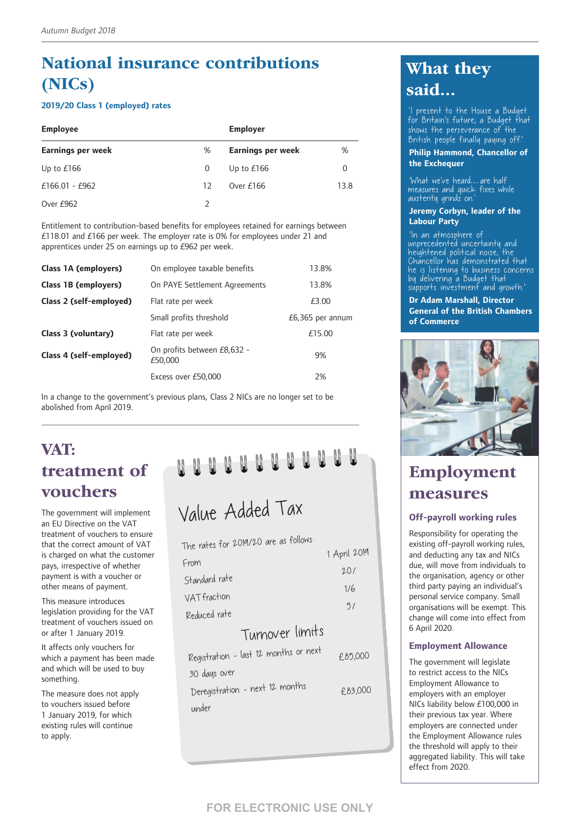### **National insurance contributions (NICs)**

### **2019/20 Class 1 (employed) rates**

| <b>Employee</b>          |               | <b>Employer</b>          |      |
|--------------------------|---------------|--------------------------|------|
| <b>Earnings per week</b> | %             | <b>Earnings per week</b> | %    |
| Up to $£166$             | 0             | Up to $£166$             | 0    |
| £166.01 - £962           | 12            | Over $£166$              | 13.8 |
| Over £962                | $\mathcal{D}$ |                          |      |

Entitlement to contribution-based benefits for employees retained for earnings between £118.01 and £166 per week. The employer rate is 0% for employees under 21 and apprentices under 25 on earnings up to £962 per week.

| Class 1A (employers)    | On employee taxable benefits           | 13.8%              |
|-------------------------|----------------------------------------|--------------------|
| Class 1B (employers)    | On PAYE Settlement Agreements          | 13.8%              |
| Class 2 (self-employed) | Flat rate per week                     | £3.00              |
|                         | Small profits threshold                | $£6,365$ per annum |
| Class 3 (voluntary)     | Flat rate per week                     | £15.00             |
| Class 4 (self-employed) | On profits between £8,632 -<br>£50,000 | 9%                 |
|                         | Excess over £50,000                    | 2%                 |

In a change to the government's previous plans, Class 2 NICs are no longer set to be abolished from April 2019.

### **VAT: treatment of vouchers**

The government will implement an EU Directive on the VAT treatment of vouchers to ensure that the correct amount of VAT is charged on what the customer pays, irrespective of whether payment is with a voucher or other means of payment.

This measure introduces legislation providing for the VAT treatment of vouchers issued on or after 1 January 2019.

It affects only vouchers for which a payment has been made and which will be used to buy something.

The measure does not apply to vouchers issued before 1 January 2019, for which existing rules will continue to apply.

## Value Added Tax

|               | The rates for 2019/20 are as follows: |              |
|---------------|---------------------------------------|--------------|
|               |                                       | 1 April 2019 |
| From          |                                       | 207          |
| Standard rate |                                       |              |
| VAT fraction  |                                       | 1/6          |
| Reduced rate  |                                       | 5/           |
|               | Turnover limits                       |              |
|               | Let 12 months or next                 |              |

| Registration - last 12 months or next | £85,000 |
|---------------------------------------|---------|
| 30 days over                          |         |
| Deregistration - next 12 months       | £83,000 |
| under                                 |         |

### **What they said...**

'I present to the House a Budget for Britain's future; a Budget that shows the perseverance of the British people finally paying off.'

#### **Philip Hammond, Chancellor of the Exchequer**

'What we've heard…are half measures and quick fixes while austerity grinds on.'

#### **Jeremy Corbyn, leader of the Labour Party**

'In an atmosphere of unprecedented uncertainty and heightened political noise, the Chancellor has demonstrated that he is listening to business concerns by delivering a Budget that supports investment and growth

#### **Dr Adam Marshall, Director General of the British Chambers of Commerce**



### **Employment measures**

### **Off-payroll working rules**

Responsibility for operating the existing off-payroll working rules, and deducting any tax and NICs due, will move from individuals to the organisation, agency or other third party paying an individual's personal service company. Small organisations will be exempt. This change will come into effect from 6 April 2020.

### **Employment Allowance**

The government will legislate to restrict access to the NICs Employment Allowance to employers with an employer NICs liability below £100,000 in their previous tax year. Where employers are connected under the Employment Allowance rules the threshold will apply to their aggregated liability. This will take effect from 2020.